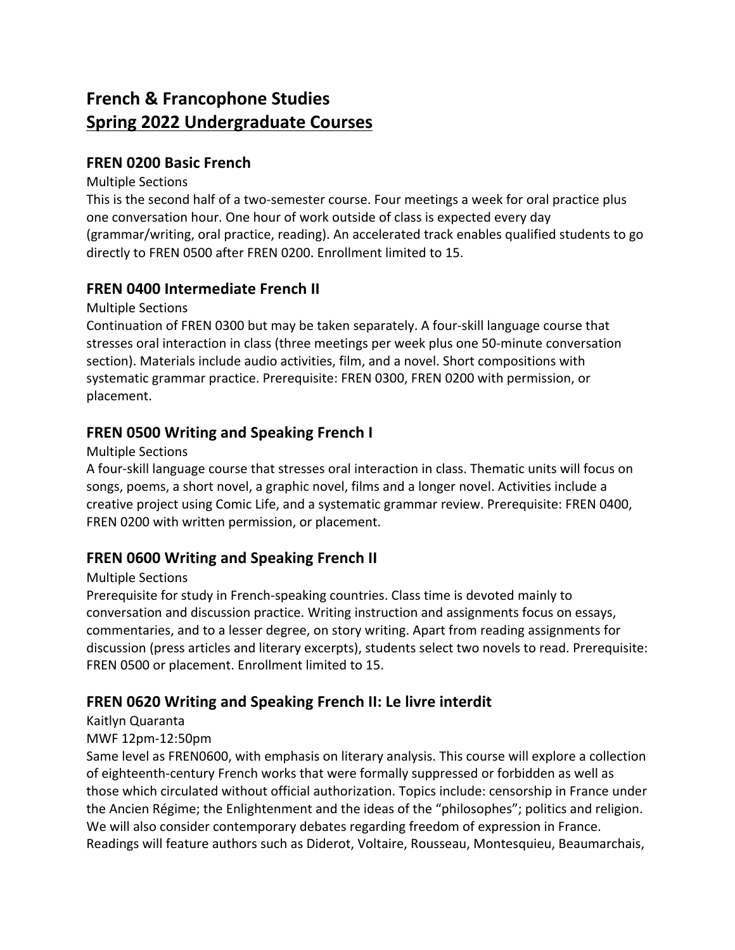# **French & Francophone Studies Spring 2022 Undergraduate Courses**

## **FREN 0200 Basic French**

#### Multiple Sections

This is the second half of a two-semester course. Four meetings a week for oral practice plus one conversation hour. One hour of work outside of class is expected every day (grammar/writing, oral practice, reading). An accelerated track enables qualified students to go directly to FREN 0500 after FREN 0200. Enrollment limited to 15.

## **FREN 0400 Intermediate French II**

#### Multiple Sections

Continuation of FREN 0300 but may be taken separately. A four-skill language course that stresses oral interaction in class (three meetings per week plus one 50-minute conversation section). Materials include audio activities, film, and a novel. Short compositions with systematic grammar practice. Prerequisite: FREN 0300, FREN 0200 with permission, or placement.

## **FREN 0500 Writing and Speaking French I**

#### Multiple Sections

A four-skill language course that stresses oral interaction in class. Thematic units will focus on songs, poems, a short novel, a graphic novel, films and a longer novel. Activities include a creative project using Comic Life, and a systematic grammar review. Prerequisite: FREN 0400, FREN 0200 with written permission, or placement.

## **FREN 0600 Writing and Speaking French II**

#### Multiple Sections

Prerequisite for study in French-speaking countries. Class time is devoted mainly to conversation and discussion practice. Writing instruction and assignments focus on essays, commentaries, and to a lesser degree, on story writing. Apart from reading assignments for discussion (press articles and literary excerpts), students select two novels to read. Prerequisite: FREN 0500 or placement. Enrollment limited to 15.

## **FREN 0620 Writing and Speaking French II: Le livre interdit**

#### Kaitlyn Quaranta

#### MWF 12pm-12:50pm

Same level as FREN0600, with emphasis on literary analysis. This course will explore a collection of eighteenth-century French works that were formally suppressed or forbidden as well as those which circulated without official authorization. Topics include: censorship in France under the Ancien Régime; the Enlightenment and the ideas of the "philosophes"; politics and religion. We will also consider contemporary debates regarding freedom of expression in France. Readings will feature authors such as Diderot, Voltaire, Rousseau, Montesquieu, Beaumarchais,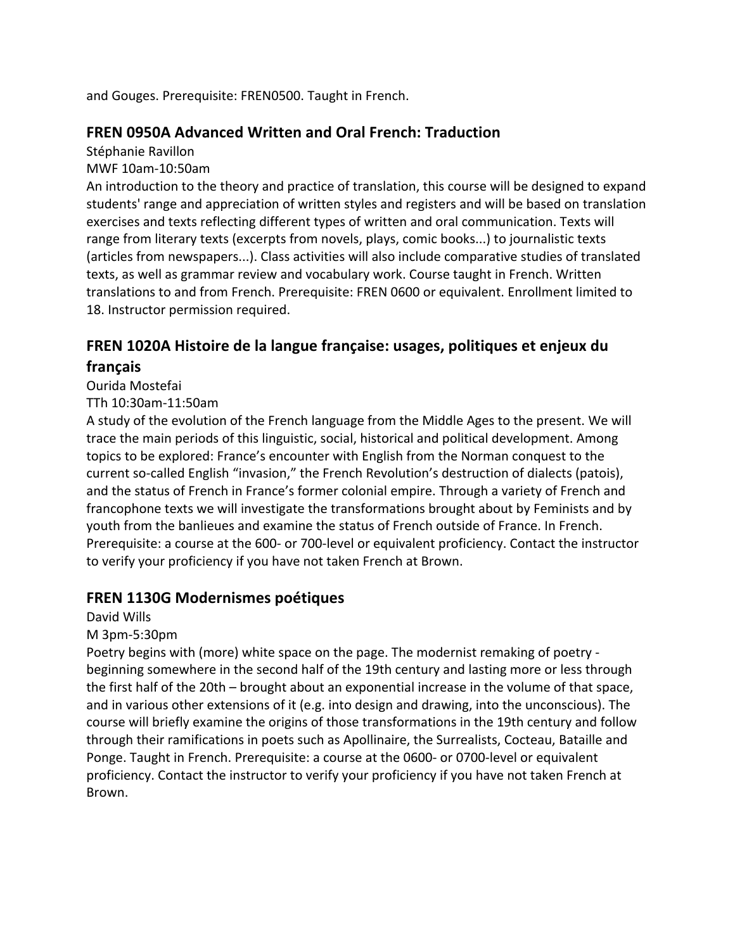and Gouges. Prerequisite: FREN0500. Taught in French.

## **FREN 0950A Advanced Written and Oral French: Traduction**

Stéphanie Ravillon

MWF 10am-10:50am

An introduction to the theory and practice of translation, this course will be designed to expand students' range and appreciation of written styles and registers and will be based on translation exercises and texts reflecting different types of written and oral communication. Texts will range from literary texts (excerpts from novels, plays, comic books...) to journalistic texts (articles from newspapers...). Class activities will also include comparative studies of translated texts, as well as grammar review and vocabulary work. Course taught in French. Written translations to and from French. Prerequisite: FREN 0600 or equivalent. Enrollment limited to 18. Instructor permission required.

## **FREN 1020A Histoire de la langue française: usages, politiques et enjeux du français**

Ourida Mostefai

TTh 10:30am-11:50am

A study of the evolution of the French language from the Middle Ages to the present. We will trace the main periods of this linguistic, social, historical and political development. Among topics to be explored: France's encounter with English from the Norman conquest to the current so-called English "invasion," the French Revolution's destruction of dialects (patois), and the status of French in France's former colonial empire. Through a variety of French and francophone texts we will investigate the transformations brought about by Feminists and by youth from the banlieues and examine the status of French outside of France. In French. Prerequisite: a course at the 600- or 700-level or equivalent proficiency. Contact the instructor to verify your proficiency if you have not taken French at Brown.

## **FREN 1130G Modernismes poétiques**

David Wills

#### M 3pm-5:30pm

Poetry begins with (more) white space on the page. The modernist remaking of poetry beginning somewhere in the second half of the 19th century and lasting more or less through the first half of the 20th – brought about an exponential increase in the volume of that space, and in various other extensions of it (e.g. into design and drawing, into the unconscious). The course will briefly examine the origins of those transformations in the 19th century and follow through their ramifications in poets such as Apollinaire, the Surrealists, Cocteau, Bataille and Ponge. Taught in French. Prerequisite: a course at the 0600- or 0700-level or equivalent proficiency. Contact the instructor to verify your proficiency if you have not taken French at Brown.